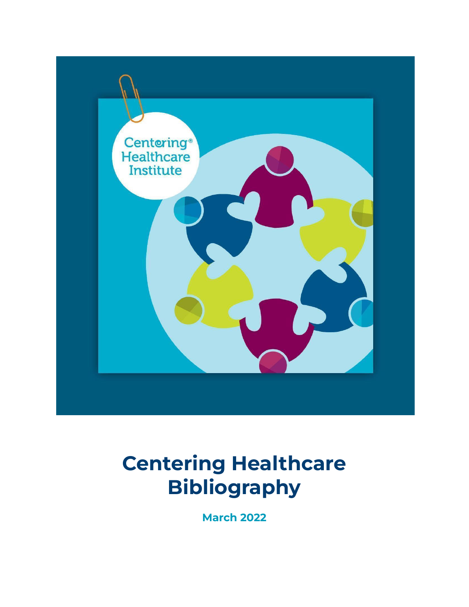

# **Centering Healthcare Bibliography**

**March 2022**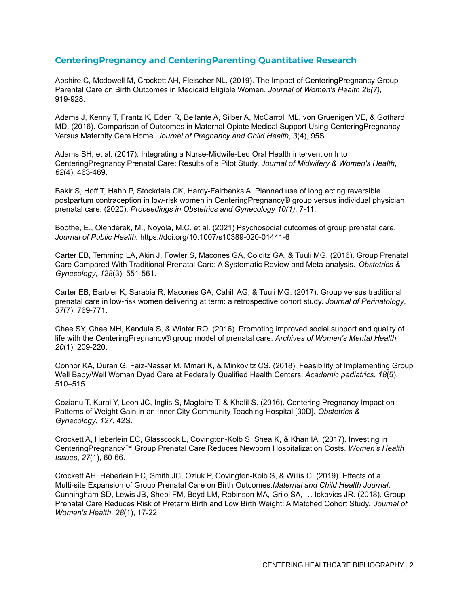### **CenteringPregnancy and CenteringParenting Quantitative Research**

Abshire C, Mcdowell M, Crockett AH, Fleischer NL. (2019). The Impact of CenteringPregnancy Group Parental Care on Birth Outcomes in Medicaid Eligible Women. *Journal of Women's Health 28(7),* 919-928.

Adams J, Kenny T, Frantz K, Eden R, Bellante A, Silber A, McCarroll ML, von Gruenigen VE, & Gothard MD. (2016). Comparison of Outcomes in Maternal Opiate Medical Support Using CenteringPregnancy Versus Maternity Care Home. *Journal of Pregnancy and Child Health*, *3*(4), 95S.

Adams SH, et al. (2017). Integrating a Nurse-Midwife-Led Oral Health intervention Into CenteringPregnancy Prenatal Care: Results of a Pilot Study. *Journal of Midwifery & Women's Health*, *62*(4), 463-469.

Bakir S, Hoff T, Hahn P, Stockdale CK, Hardy-Fairbanks A. Planned use of long acting reversible postpartum contraception in low-risk women in CenteringPregnancy® group versus individual physician prenatal care. (2020). *Proceedings in Obstetrics and Gynecology 10(1)*, 7-11.

Boothe, E., Olenderek, M., Noyola, M.C. et al. (2021) Psychosocial outcomes of group prenatal care. *Journal of Public Health.* https://doi.org/10.1007/s10389-020-01441-6

Carter EB, Temming LA, Akin J, Fowler S, Macones GA, Colditz GA, & Tuuli MG. (2016). Group Prenatal Care Compared With Traditional Prenatal Care: A Systematic Review and Meta-analysis. *Obstetrics & Gynecology*, *128*(3), 551-561.

Carter EB, Barbier K, Sarabia R, Macones GA, Cahill AG, & Tuuli MG. (2017). Group versus traditional prenatal care in low-risk women delivering at term: a retrospective cohort study. *Journal of Perinatology*, *37*(7), 769-771.

Chae SY, Chae MH, Kandula S, & Winter RO. (2016). Promoting improved social support and quality of life with the CenteringPregnancy® group model of prenatal care. *Archives of Women's Mental Health, 20*(1), 209-220.

Connor KA, Duran G, Faiz-Nassar M, Mmari K, & Minkovitz CS. (2018). Feasibility of Implementing Group Well Baby/Well Woman Dyad Care at Federally Qualified Health Centers. *Academic pediatrics*, *18*(5), 510–515

Cozianu T, Kural Y, Leon JC, Inglis S, Magloire T, & Khalil S. (2016). Centering Pregnancy Impact on Patterns of Weight Gain in an Inner City Community Teaching Hospital [30D]. *Obstetrics & Gynecology*, *127*, 42S.

Crockett A, Heberlein EC, Glasscock L, Covington-Kolb S, Shea K, & Khan IA. (2017). Investing in CenteringPregnancy™ Group Prenatal Care Reduces Newborn Hospitalization Costs. *Women's Health Issues*, *27*(1), 60-66.

Crockett AH, Heberlein EC, Smith JC, Ozluk P, Covington-Kolb S, & Willis C. (2019). Effects of a Multi‐site Expansion of Group Prenatal Care on Birth Outcomes.*Maternal and Child Health Journal*. Cunningham SD, Lewis JB, Shebl FM, Boyd LM, Robinson MA, Grilo SA, … Ickovics JR. (2018). Group Prenatal Care Reduces Risk of Preterm Birth and Low Birth Weight: A Matched Cohort Study. *Journal of Women's Health*, *28*(1), 17-22.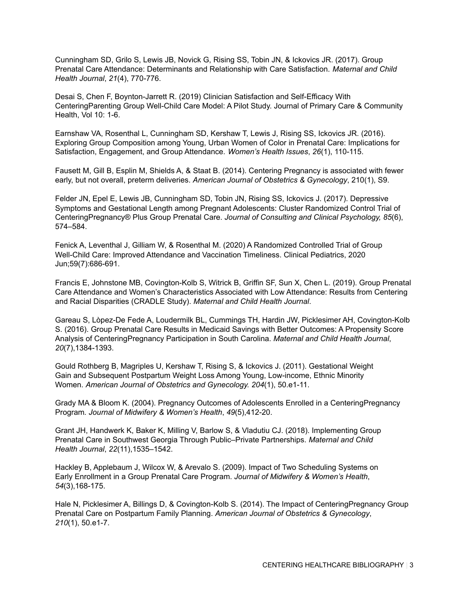Cunningham SD, Grilo S, Lewis JB, Novick G, Rising SS, Tobin JN, & Ickovics JR. (2017). Group Prenatal Care Attendance: Determinants and Relationship with Care Satisfaction. *Maternal and Child Health Journal*, *21*(4), 770-776.

Desai S, Chen F, Boynton-Jarrett R. (2019) Clinician Satisfaction and Self-Efficacy With CenteringParenting Group Well-Child Care Model: A Pilot Study. Journal of Primary Care & Community Health, Vol 10: 1-6.

Earnshaw VA, Rosenthal L, Cunningham SD, Kershaw T, Lewis J, Rising SS, Ickovics JR. (2016). Exploring Group Composition among Young, Urban Women of Color in Prenatal Care: Implications for Satisfaction, Engagement, and Group Attendance. *Women's Health Issues*, *26*(1), 110-115.

Fausett M, Gill B, Esplin M, Shields A, & Staat B. (2014). Centering Pregnancy is associated with fewer early, but not overall, preterm deliveries. *American Journal of Obstetrics & Gynecology*, 210(1), S9.

Felder JN, Epel E, Lewis JB, Cunningham SD, Tobin JN, Rising SS, Ickovics J. (2017). Depressive Symptoms and Gestational Length among Pregnant Adolescents: Cluster Randomized Control Trial of CenteringPregnancy® Plus Group Prenatal Care. *Journal of Consulting and Clinical Psychology, 85*(6), 574–584.

Fenick A, Leventhal J, Gilliam W, & Rosenthal M. (2020) A Randomized Controlled Trial of Group Well-Child Care: Improved Attendance and Vaccination Timeliness. Clinical Pediatrics, 2020 Jun;59(7):686-691.

Francis E, Johnstone MB, Covington-Kolb S, Witrick B, Griffin SF, Sun X, Chen L. (2019). Group Prenatal Care Attendance and Women's Characteristics Associated with Low Attendance: Results from Centering and Racial Disparities (CRADLE Study). *Maternal and Child Health Journal*.

Gareau S, Lòpez-De Fede A, Loudermilk BL, Cummings TH, Hardin JW, Picklesimer AH, Covington-Kolb S. (2016). Group Prenatal Care Results in Medicaid Savings with Better Outcomes: A Propensity Score Analysis of CenteringPregnancy Participation in South Carolina. *Maternal and Child Health Journal*, *20*(7),1384-1393.

Gould Rothberg B, Magriples U, Kershaw T, Rising S, & Ickovics J. (2011). Gestational Weight Gain and Subsequent Postpartum Weight Loss Among Young, Low-income, Ethnic Minority Women. *American Journal of Obstetrics and Gynecology. 204*(1), 50.e1-11.

Grady MA & Bloom K. (2004). Pregnancy Outcomes of Adolescents Enrolled in a CenteringPregnancy Program*. Journal of Midwifery & Women's Health*, *49*(5),412-20.

Grant JH, Handwerk K, Baker K, Milling V, Barlow S, & Vladutiu CJ. (2018). Implementing Group Prenatal Care in Southwest Georgia Through Public–Private Partnerships. *Maternal and Child Health Journal*, *22*(11),1535–1542.

Hackley B, Applebaum J, Wilcox W, & Arevalo S. (2009). Impact of Two Scheduling Systems on Early Enrollment in a Group Prenatal Care Program. *Journal of Midwifery & Women's Health*, *54*(3),168-175.

Hale N, Picklesimer A, Billings D, & Covington-Kolb S. (2014). The Impact of CenteringPregnancy Group Prenatal Care on Postpartum Family Planning. *American Journal of Obstetrics & Gynecology*, *210*(1), 50.e1-7.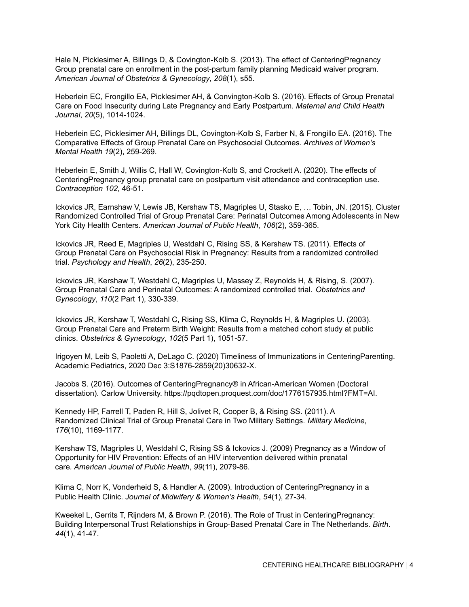Hale N, Picklesimer A, Billings D, & Covington-Kolb S. (2013). The effect of CenteringPregnancy Group prenatal care on enrollment in the post-partum family planning Medicaid waiver program. *American Journal of Obstetrics & Gynecology*, *208*(1), s55.

Heberlein EC, Frongillo EA, Picklesimer AH, & Convington-Kolb S. (2016). Effects of Group Prenatal Care on Food Insecurity during Late Pregnancy and Early Postpartum. *Maternal and Child Health Journal*, *20*(5), 1014-1024.

Heberlein EC, Picklesimer AH, Billings DL, Covington-Kolb S, Farber N, & Frongillo EA. (2016). The Comparative Effects of Group Prenatal Care on Psychosocial Outcomes*. Archives of Women's Mental Health 19*(2), 259-269.

Heberlein E, Smith J, Willis C, Hall W, Covington-Kolb S, and Crockett A. (2020). The effects of CenteringPregnancy group prenatal care on postpartum visit attendance and contraception use. *Contraception 102*, 46-51.

Ickovics JR, Earnshaw V, Lewis JB, Kershaw TS, Magriples U, Stasko E, … Tobin, JN. (2015). Cluster Randomized Controlled Trial of Group Prenatal Care: Perinatal Outcomes Among Adolescents in New York City Health Centers. *American Journal of Public Health*, *106*(2), 359-365.

Ickovics JR, Reed E, Magriples U, Westdahl C, Rising SS, & Kershaw TS. (2011). Effects of Group Prenatal Care on Psychosocial Risk in Pregnancy: Results from a randomized controlled trial. *Psychology and Health*, *26*(2), 235-250.

Ickovics JR, Kershaw T, Westdahl C, Magriples U, Massey Z, Reynolds H, & Rising, S. (2007). Group Prenatal Care and Perinatal Outcomes: A randomized controlled trial. *Obstetrics and Gynecology*, *110*(2 Part 1), 330-339.

Ickovics JR, Kershaw T, Westdahl C, Rising SS, Klima C, Reynolds H, & Magriples U. (2003). Group Prenatal Care and Preterm Birth Weight: Results from a matched cohort study at public clinics. *Obstetrics & Gynecology*, *102*(5 Part 1), 1051-57.

Irigoyen M, Leib S, Paoletti A, DeLago C. (2020) Timeliness of Immunizations in CenteringParenting. Academic Pediatrics, 2020 Dec 3:S1876-2859(20)30632-X.

Jacobs S. (2016). Outcomes of CenteringPregnancy® in African-American Women (Doctoral dissertation). Carlow University. https://pqdtopen.proquest.com/doc/1776157935.html?FMT=AI.

Kennedy HP, Farrell T, Paden R, Hill S, Jolivet R, Cooper B, & Rising SS. (2011). A Randomized Clinical Trial of Group Prenatal Care in Two Military Settings. *Military Medicine*, *176*(10), 1169-1177.

Kershaw TS, Magriples U, Westdahl C, Rising SS & Ickovics J. (2009) Pregnancy as a Window of Opportunity for HIV Prevention: Effects of an HIV intervention delivered within prenatal care*. American Journal of Public Health*, *99*(11), 2079-86.

Klima C, Norr K, Vonderheid S, & Handler A. (2009). Introduction of CenteringPregnancy in a Public Health Clinic. *Journal of Midwifery & Women's Health*, *54*(1), 27-34.

Kweekel L, Gerrits T, Rijnders M, & Brown P. (2016). The Role of Trust in CenteringPregnancy: Building Interpersonal Trust Relationships in Group‐Based Prenatal Care in The Netherlands. *Birth*. *44*(1), 41-47.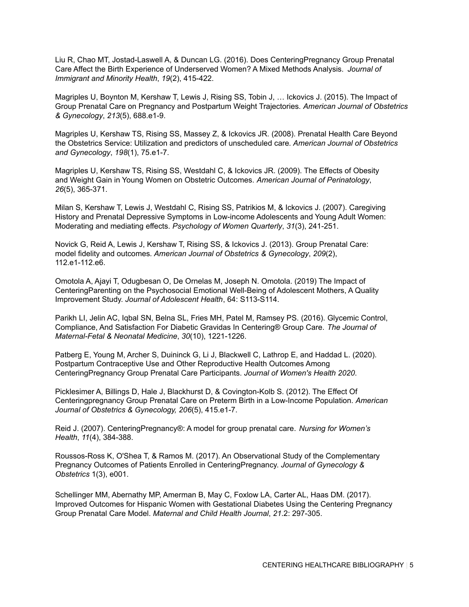Liu R, Chao MT, Jostad-Laswell A, & Duncan LG. (2016). Does CenteringPregnancy Group Prenatal Care Affect the Birth Experience of Underserved Women? A Mixed Methods Analysis. *Journal of Immigrant and Minority Health*, *19*(2), 415-422.

Magriples U, Boynton M, Kershaw T, Lewis J, Rising SS, Tobin J, … Ickovics J. (2015). The Impact of Group Prenatal Care on Pregnancy and Postpartum Weight Trajectories. *American Journal of Obstetrics & Gynecology*, *213*(5), 688.e1-9.

Magriples U, Kershaw TS, Rising SS, Massey Z, & Ickovics JR. (2008). Prenatal Health Care Beyond the Obstetrics Service: Utilization and predictors of unscheduled care*. American Journal of Obstetrics and Gynecology*, *198*(1), 75.e1-7.

Magriples U, Kershaw TS, Rising SS, Westdahl C, & Ickovics JR. (2009). The Effects of Obesity and Weight Gain in Young Women on Obstetric Outcomes*. American Journal of Perinatology*, *26*(5), 365-371.

Milan S, Kershaw T, Lewis J, Westdahl C, Rising SS, Patrikios M, & Ickovics J. (2007). Caregiving History and Prenatal Depressive Symptoms in Low-income Adolescents and Young Adult Women: Moderating and mediating effects. *Psychology of Women Quarterly*, *31*(3), 241-251.

Novick G, Reid A, Lewis J, Kershaw T, Rising SS, & Ickovics J. (2013). Group Prenatal Care: model fidelity and outcomes*. American Journal of Obstetrics & Gynecology*, *209*(2), 112.e1-112.e6.

Omotola A, Ajayi T, Odugbesan O, De Ornelas M, Joseph N. Omotola. (2019) The Impact of CenteringParenting on the Psychosocial Emotional Well-Being of Adolescent Mothers, A Quality Improvement Study. *Journal of Adolescent Health*, 64: S113-S114.

Parikh LI, Jelin AC, Iqbal SN, Belna SL, Fries MH, Patel M, Ramsey PS. (2016). Glycemic Control, Compliance, And Satisfaction For Diabetic Gravidas In Centering® Group Care. *The Journal of Maternal-Fetal & Neonatal Medicine*, *30*(10), 1221-1226.

Patberg E, Young M, Archer S, Duininck G, Li J, Blackwell C, Lathrop E, and Haddad L. (2020). Postpartum Contraceptive Use and Other Reproductive Health Outcomes Among CenteringPregnancy Group Prenatal Care Participants. *Journal of Women's Health 2020*.

Picklesimer A, Billings D, Hale J, Blackhurst D, & Covington-Kolb S. (2012). The Effect Of Centeringpregnancy Group Prenatal Care on Preterm Birth in a Low-Income Population. *American Journal of Obstetrics & Gynecology, 206*(5), 415.e1-7.

Reid J. (2007). CenteringPregnancy®: A model for group prenatal care. *Nursing for Women's Health*, *11*(4), 384-388.

Roussos-Ross K, O'Shea T, & Ramos M. (2017). An Observational Study of the Complementary Pregnancy Outcomes of Patients Enrolled in CenteringPregnancy. *Journal of Gynecology & Obstetrics* 1(3), e001.

Schellinger MM, Abernathy MP, Amerman B, May C, Foxlow LA, Carter AL, Haas DM. (2017). Improved Outcomes for Hispanic Women with Gestational Diabetes Using the Centering Pregnancy Group Prenatal Care Model. *Maternal and Child Health Journal*, *21*.2: 297-305.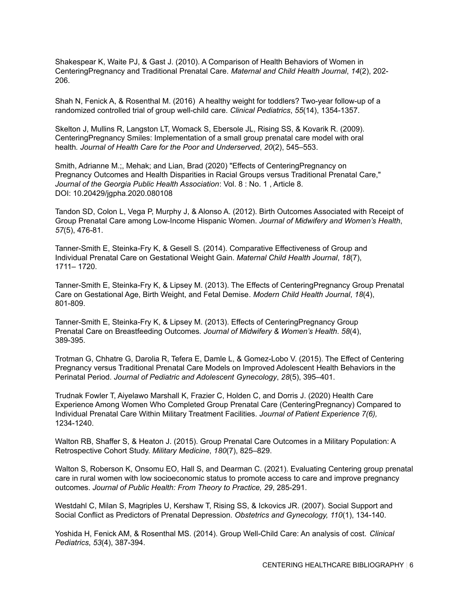Shakespear K, Waite PJ, & Gast J. (2010). A Comparison of Health Behaviors of Women in CenteringPregnancy and Traditional Prenatal Care*. Maternal and Child Health Journal*, *14*(2), 202- 206.

Shah N, Fenick A, & Rosenthal M. (2016) A healthy weight for toddlers? Two-year follow-up of a randomized controlled trial of group well-child care. *Clinical Pediatrics*, *55*(14), 1354-1357.

Skelton J, Mullins R, Langston LT, Womack S, Ebersole JL, Rising SS, & Kovarik R. (2009). CenteringPregnancy Smiles: Implementation of a small group prenatal care model with oral health*. Journal of Health Care for the Poor and Underserved*, *20*(2), 545–553.

Smith, Adrianne M.;, Mehak; and Lian, Brad (2020) "Effects of CenteringPregnancy on Pregnancy Outcomes and Health Disparities in Racial Groups versus Traditional Prenatal Care," *Journal of the Georgia Public Health Association*: Vol. 8 : No. 1 , Article 8. DOI: 10.20429/jgpha.2020.080108

Tandon SD, Colon L, Vega P, Murphy J, & Alonso A. (2012). Birth Outcomes Associated with Receipt of Group Prenatal Care among Low-Income Hispanic Women. *Journal of Midwifery and Women's Health*, *57*(5), 476-81.

Tanner-Smith E, Steinka-Fry K, & Gesell S. (2014). Comparative Effectiveness of Group and Individual Prenatal Care on Gestational Weight Gain. *Maternal Child Health Journal*, *18*(7), 1711– 1720.

Tanner-Smith E, Steinka-Fry K, & Lipsey M. (2013). The Effects of CenteringPregnancy Group Prenatal Care on Gestational Age, Birth Weight, and Fetal Demise*. Modern Child Health Journal*, *18*(4), 801-809.

Tanner-Smith E, Steinka-Fry K, & Lipsey M. (2013). Effects of CenteringPregnancy Group Prenatal Care on Breastfeeding Outcomes*. Journal of Midwifery & Women's Health*. *58*(4), 389-395.

Trotman G, Chhatre G, Darolia R, Tefera E, Damle L, & Gomez-Lobo V. (2015). The Effect of Centering Pregnancy versus Traditional Prenatal Care Models on Improved Adolescent Health Behaviors in the Perinatal Period. *Journal of Pediatric and Adolescent Gynecology*, *28*(5), 395–401.

Trudnak Fowler T, Aiyelawo Marshall K, Frazier C, Holden C, and Dorris J. (2020) Health Care Experience Among Women Who Completed Group Prenatal Care (CenteringPregnancy) Compared to Individual Prenatal Care Within Military Treatment Facilities. *Journal of Patient Experience 7(6),* 1234-1240.

Walton RB, Shaffer S, & Heaton J. (2015). Group Prenatal Care Outcomes in a Military Population: A Retrospective Cohort Study. *Military Medicine*, *180*(7), 825–829.

Walton S, Roberson K, Onsomu EO, Hall S, and Dearman C. (2021). Evaluating Centering group prenatal care in rural women with low socioeconomic status to promote access to care and improve pregnancy outcomes. *Journal of Public Health: From Theory to Practice, 29*, 285-291.

Westdahl C, Milan S, Magriples U, Kershaw T, Rising SS, & Ickovics JR. (2007). Social Support and Social Conflict as Predictors of Prenatal Depression. *Obstetrics and Gynecology, 110*(1), 134-140.

Yoshida H, Fenick AM, & Rosenthal MS. (2014). Group Well-Child Care: An analysis of cost. *Clinical Pediatrics*, *53*(4), 387-394.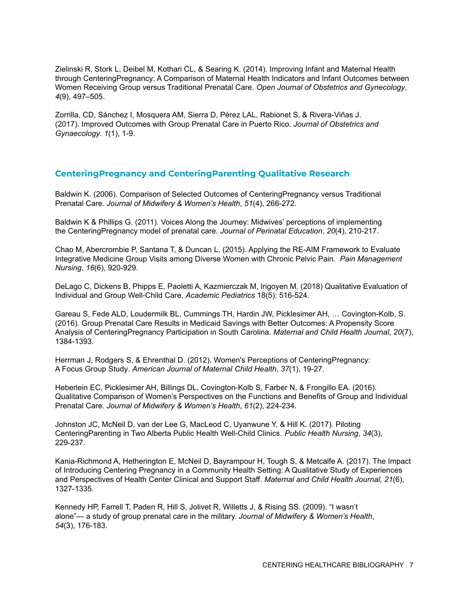Zielinski R, Stork L, Deibel M, Kothari CL, & Searing K. (2014). Improving Infant and Maternal Health through CenteringPregnancy: A Comparison of Maternal Health Indicators and Infant Outcomes between Women Receiving Group versus Traditional Prenatal Care. *Open Journal of Obstetrics and Gynecology*, *4*(9), 497–505.

Zorrilla, CD, Sánchez I, Mosquera AM, Sierra D, Pérez LAL, Rabionet S, & Rivera-Viñas J. (2017). Improved Outcomes with Group Prenatal Care in Puerto Rico. *Journal of Obstetrics and Gynaecology*. *1*(1), 1-9.

## **CenteringPregnancy and CenteringParenting Qualitative Research**

Baldwin K. (2006). Comparison of Selected Outcomes of CenteringPregnancy versus Traditional Prenatal Care*. Journal of Midwifery & Women's Health*, *51*(4), 266-272.

Baldwin K & Phillips G. (2011). Voices Along the Journey: Midwives' perceptions of implementing the CenteringPregnancy model of prenatal care*. Journal of Perinatal Education*, *20*(4), 210-217.

Chao M, Abercrombie P, Santana T, & Duncan L. (2015). Applying the RE-AIM Framework to Evaluate Integrative Medicine Group Visits among Diverse Women with Chronic Pelvic Pain. *Pain Management Nursing*, *16*(6), 920-929.

DeLago C, Dickens B, Phipps E, Paoletti A, Kazmierczak M, Irigoyen M. (2018) Qualitative Evaluation of Individual and Group Well-Child Care. *Academic Pediatrics* 18(5): 516-524.

Gareau S, Fede ALD, Loudermilk BL, Cummings TH, Hardin JW, Picklesimer AH, … Covington-Kolb, S. (2016). Group Prenatal Care Results in Medicaid Savings with Better Outcomes: A Propensity Score Analysis of CenteringPregnancy Participation in South Carolina. *Maternal and Child Health Journal*, *20*(7), 1384-1393.

Herrman J, Rodgers S, & Ehrenthal D. (2012). Women's Perceptions of CenteringPregnancy: A Focus Group Study*. American Journal of Maternal Child Health*, *37*(1), 19-27.

Heberlein EC, Picklesimer AH, Billings DL, Covington-Kolb S, Farber N, & Frongillo EA. (2016). Qualitative Comparison of Women's Perspectives on the Functions and Benefits of Group and Individual Prenatal Care. *Journal of Midwifery & Women's Health*, *61*(2), 224-234.

Johnston JC, McNeil D, van der Lee G, MacLeod C, Uyanwune Y, & Hill K. (2017). Piloting CenteringParenting in Two Alberta Public Health Well-Child Clinics. *Public Health Nursing*, *34*(3), 229-237.

Kania-Richmond A, Hetherington E, McNeil D, Bayrampour H, Tough S, & Metcalfe A. (2017). The Impact of Introducing Centering Pregnancy in a Community Health Setting: A Qualitative Study of Experiences and Perspectives of Health Center Clinical and Support Staff. *Maternal and Child Health Journal, 21*(6), 1327-1335.

Kennedy HP, Farrell T, Paden R, Hill S, Jolivet R, Willetts J, & Rising SS. (2009). "I wasn't alone"— a study of group prenatal care in the military. *Journal of Midwifery & Women's Health*, *54*(3), 176-183.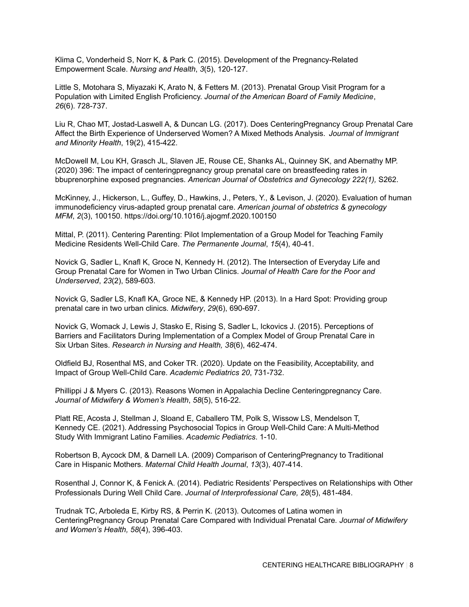Klima C, Vonderheid S, Norr K, & Park C. (2015). Development of the Pregnancy-Related Empowerment Scale. *Nursing and Health*, *3*(5), 120-127.

Little S, Motohara S, Miyazaki K, Arato N, & Fetters M. (2013). Prenatal Group Visit Program for a Population with Limited English Proficiency. *Journal of the American Board of Family Medicine*, *26*(6). 728-737.

Liu R, Chao MT, Jostad-Laswell A, & Duncan LG. (2017). Does CenteringPregnancy Group Prenatal Care Affect the Birth Experience of Underserved Women? A Mixed Methods Analysis. *Journal of Immigrant and Minority Health*, 19(2), 415-422.

McDowell M, Lou KH, Grasch JL, Slaven JE, Rouse CE, Shanks AL, Quinney SK, and Abernathy MP. (2020) 396: The impact of centeringpregnancy group prenatal care on breastfeeding rates in bbuprenorphine exposed pregnancies. *American Journal of Obstetrics and Gynecology 222(1),* S262.

McKinney, J., Hickerson, L., Guffey, D., Hawkins, J., Peters, Y., & Levison, J. (2020). Evaluation of human immunodeficiency virus-adapted group prenatal care. *American journal of obstetrics & gynecology MFM*, *2*(3), 100150. https://doi.org/10.1016/j.ajogmf.2020.100150

Mittal, P. (2011). Centering Parenting: Pilot Implementation of a Group Model for Teaching Family Medicine Residents Well-Child Care. *The Permanente Journal*, *15*(4), 40-41.

Novick G, Sadler L, Knafl K, Groce N, Kennedy H. (2012). The Intersection of Everyday Life and Group Prenatal Care for Women in Two Urban Clinics*. Journal of Health Care for the Poor and Underserved*, *23*(2), 589-603.

Novick G, Sadler LS, Knafl KA, Groce NE, & Kennedy HP. (2013). In a Hard Spot: Providing group prenatal care in two urban clinics*. Midwifery*, *29*(6), 690-697.

Novick G, Womack J, Lewis J, Stasko E, Rising S, Sadler L, Ickovics J. (2015). Perceptions of Barriers and Facilitators During Implementation of a Complex Model of Group Prenatal Care in Six Urban Sites. *Research in Nursing and Health, 38*(6), 462-474.

Oldfield BJ, Rosenthal MS, and Coker TR. (2020). Update on the Feasibility, Acceptability, and Impact of Group Well-Child Care. *Academic Pediatrics 20*, 731-732.

Phillippi J & Myers C. (2013). Reasons Women in Appalachia Decline Centeringpregnancy Care. *Journal of Midwifery & Women's Health*, *58*(5), 516-22.

Platt RE, Acosta J, Stellman J, Sloand E, Caballero TM, Polk S, Wissow LS, Mendelson T, Kennedy CE. (2021). Addressing Psychosocial Topics in Group Well-Child Care: A Multi-Method Study With Immigrant Latino Families. *Academic Pediatrics*. 1-10.

Robertson B, Aycock DM, & Darnell LA. (2009) Comparison of CenteringPregnancy to Traditional Care in Hispanic Mothers. *Maternal Child Health Journal*, *13*(3), 407-414.

Rosenthal J, Connor K, & Fenick A. (2014). Pediatric Residents' Perspectives on Relationships with Other Professionals During Well Child Care. *Journal of Interprofessional Care, 28*(5), 481-484.

Trudnak TC, Arboleda E, Kirby RS, & Perrin K. (2013). Outcomes of Latina women in CenteringPregnancy Group Prenatal Care Compared with Individual Prenatal Care*. Journal of Midwifery and Women's Health, 58*(4), 396-403.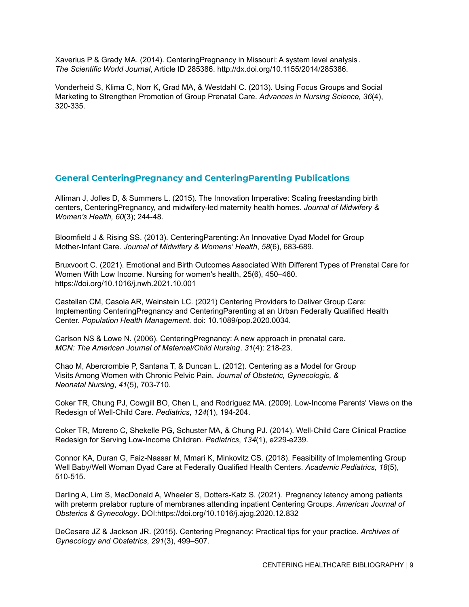Xaverius P & Grady MA. (2014). CenteringPregnancy in Missouri: A system level analysis *. The Scientific World Journal*, Article ID 285386. http://dx.doi.org/10.1155/2014/285386.

Vonderheid S, Klima C, Norr K, Grad MA, & Westdahl C. (2013). Using Focus Groups and Social Marketing to Strengthen Promotion of Group Prenatal Care. *Advances in Nursing Science, 36*(4), 320-335.

### **General CenteringPregnancy and CenteringParenting Publications**

Alliman J, Jolles D, & Summers L. (2015). The Innovation Imperative: Scaling freestanding birth centers, CenteringPregnancy, and midwifery-led maternity health homes. *Journal of Midwifery & Women's Health, 60*(3); 244-48.

Bloomfield J & Rising SS. (2013). CenteringParenting: An Innovative Dyad Model for Group Mother-Infant Care*. Journal of Midwifery & Womens' Health*, *58*(6), 683-689.

Bruxvoort C. (2021). Emotional and Birth Outcomes Associated With Different Types of Prenatal Care for Women With Low Income. Nursing for women's health, 25(6), 450–460. <https://doi.org/10.1016/j.nwh.2021.10.001>

Castellan CM, Casola AR, Weinstein LC. (2021) Centering Providers to Deliver Group Care: Implementing CenteringPregnancy and CenteringParenting at an Urban Federally Qualified Health Center. *Population Health Management*. doi: 10.1089/pop.2020.0034.

Carlson NS & Lowe N. (2006). CenteringPregnancy: A new approach in prenatal care. *MCN: The American Journal of Maternal/Child Nursing*. *31*(4): 218-23.

Chao M, Abercrombie P, Santana T, & Duncan L. (2012). Centering as a Model for Group Visits Among Women with Chronic Pelvic Pain. *Journal of Obstetric, Gynecologic, & Neonatal Nursing*, *41*(5), 703-710.

Coker TR, Chung PJ, Cowgill BO, Chen L, and Rodriguez MA. (2009). Low-Income Parents' Views on the Redesign of Well-Child Care. *Pediatrics*, *124*(1), 194-204.

Coker TR, Moreno C, Shekelle PG, Schuster MA, & Chung PJ. (2014). Well-Child Care Clinical Practice Redesign for Serving Low-Income Children. *Pediatrics*, *134*(1), e229-e239.

Connor KA, Duran G, Faiz-Nassar M, Mmari K, Minkovitz CS. (2018). Feasibility of Implementing Group Well Baby/Well Woman Dyad Care at Federally Qualified Health Centers. *Academic Pediatrics*, *18*(5), 510-515.

Darling A, Lim S, MacDonald A, Wheeler S, Dotters-Katz S. (2021). Pregnancy latency among patients with preterm prelabor rupture of membranes attending inpatient Centering Groups. *American Journal of Obsterics & Gynecology*. DOI:https://doi.org/10.1016/j.ajog.2020.12.832

DeCesare JZ & Jackson JR. (2015). Centering Pregnancy: Practical tips for your practice. *Archives of Gynecology and Obstetrics*, *291*(3), 499–507.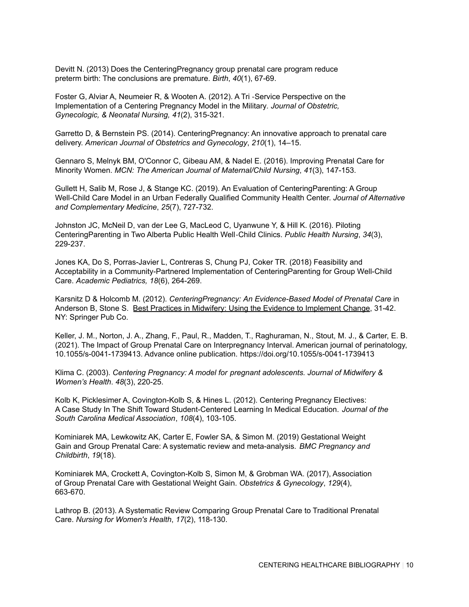Devitt N. (2013) Does the CenteringPregnancy group prenatal care program reduce preterm birth: The conclusions are premature. *Birth*, *40*(1), 67-69.

Foster G, Alviar A, Neumeier R, & Wooten A. (2012). A Tri ‐Service Perspective on the Implementation of a Centering Pregnancy Model in the Military*. Journal of Obstetric, Gynecologic, & Neonatal Nursing, 41*(2), 315-321.

Garretto D, & Bernstein PS. (2014). CenteringPregnancy: An innovative approach to prenatal care delivery. *American Journal of Obstetrics and Gynecology*, *210*(1), 14–15.

Gennaro S, Melnyk BM, O'Connor C, Gibeau AM, & Nadel E. (2016). Improving Prenatal Care for Minority Women. *MCN: The American Journal of Maternal/Child Nursing*, *41*(3), 147-153.

Gullett H, Salib M, Rose J, & Stange KC. (2019). An Evaluation of CenteringParenting: A Group Well-Child Care Model in an Urban Federally Qualified Community Health Center. *Journal of Alternative and Complementary Medicine*, *25*(7), 727-732.

Johnston JC, McNeil D, van der Lee G, MacLeod C, Uyanwune Y, & Hill K. (2016). Piloting CenteringParenting in Two Alberta Public Health Well‐Child Clinics. *Public Health Nursing*, *34*(3), 229-237.

Jones KA, Do S, Porras-Javier L, Contreras S, Chung PJ, Coker TR. (2018) Feasibility and Acceptability in a Community-Partnered Implementation of CenteringParenting for Group Well-Child Care. *Academic Pediatrics, 18*(6), 264-269.

Karsnitz D & Holcomb M. (2012). *CenteringPregnancy: An Evidence-Based Model of Prenatal Care* in Anderson B, Stone S. Best Practices in Midwifery: Using the Evidence to Implement Change, 31-42. NY: Springer Pub Co.

Keller, J. M., Norton, J. A., Zhang, F., Paul, R., Madden, T., Raghuraman, N., Stout, M. J., & Carter, E. B. (2021). The Impact of Group Prenatal Care on Interpregnancy Interval. American journal of perinatology, 10.1055/s-0041-1739413. Advance online publication. <https://doi.org/10.1055/s-0041-1739413>

Klima C. (2003). *Centering Pregnancy: A model for pregnant adolescents. Journal of Midwifery & Women's Health*. *48*(3), 220-25.

Kolb K, Picklesimer A, Covington-Kolb S, & Hines L. (2012). Centering Pregnancy Electives: A Case Study In The Shift Toward Student-Centered Learning In Medical Education. *Journal of the South Carolina Medical Association*, *108*(4), 103-105.

Kominiarek MA, Lewkowitz AK, Carter E, Fowler SA, & Simon M. (2019) Gestational Weight Gain and Group Prenatal Care: A systematic review and meta-analysis. *BMC Pregnancy and Childbirth*, *19*(18).

Kominiarek MA, Crockett A, Covington-Kolb S, Simon M, & Grobman WA. (2017), Association of Group Prenatal Care with Gestational Weight Gain. *Obstetrics & Gynecology*, *129*(4), 663-670.

Lathrop B. (2013). A Systematic Review Comparing Group Prenatal Care to Traditional Prenatal Care. *Nursing for Women's Health*, *17*(2), 118-130.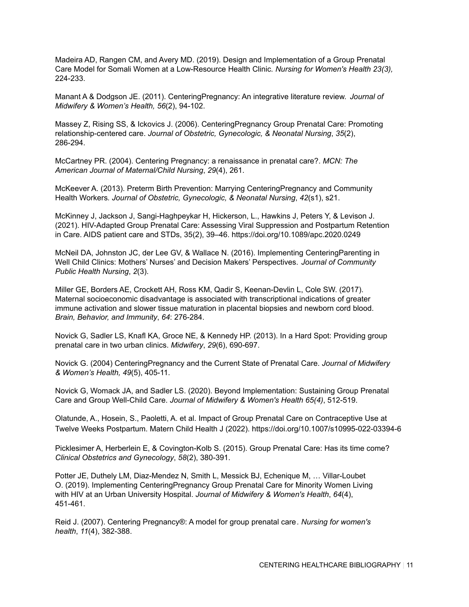Madeira AD, Rangen CM, and Avery MD. (2019). Design and Implementation of a Group Prenatal Care Model for Somali Women at a Low-Resource Health Clinic*. Nursing for Women's Health 23(3),* 224-233.

Manant A & Dodgson JE. (2011). CenteringPregnancy: An integrative literature review. *Journal of Midwifery & Women's Health, 56*(2), 94-102.

Massey Z, Rising SS, & Ickovics J. (2006). CenteringPregnancy Group Prenatal Care: Promoting relationship-centered care. *Journal of Obstetric, Gynecologic, & Neonatal Nursing*, *35*(2), 286-294.

McCartney PR. (2004). Centering Pregnancy: a renaissance in prenatal care?. *MCN: The American Journal of Maternal/Child Nursing*, *29*(4), 261.

McKeever A. (2013). Preterm Birth Prevention: Marrying CenteringPregnancy and Community Health Workers*. Journal of Obstetric, Gynecologic, & Neonatal Nursing*, *42*(s1), s21.

McKinney J, Jackson J, Sangi-Haghpeykar H, Hickerson, L., Hawkins J, Peters Y, & Levison J. (2021). HIV-Adapted Group Prenatal Care: Assessing Viral Suppression and Postpartum Retention in Care. AIDS patient care and STDs, 35(2), 39–46. https://doi.org/10.1089/apc.2020.0249

McNeil DA, Johnston JC, der Lee GV, & Wallace N. (2016). Implementing CenteringParenting in Well Child Clinics: Mothers' Nurses' and Decision Makers' Perspectives. *Journal of Community Public Health Nursing*, *2*(3).

Miller GE, Borders AE, Crockett AH, Ross KM, Qadir S, Keenan-Devlin L, Cole SW. (2017). Maternal socioeconomic disadvantage is associated with transcriptional indications of greater immune activation and slower tissue maturation in placental biopsies and newborn cord blood. *Brain, Behavior, and Immunity*, *64*: 276-284.

Novick G, Sadler LS, Knafl KA, Groce NE, & Kennedy HP. (2013). In a Hard Spot: Providing group prenatal care in two urban clinics. *Midwifery*, *29*(6), 690-697.

Novick G. (2004) CenteringPregnancy and the Current State of Prenatal Care. *Journal of Midwifery & Women's Health, 49*(5), 405-11.

Novick G, Womack JA, and Sadler LS. (2020). Beyond Implementation: Sustaining Group Prenatal Care and Group Well-Child Care. *Journal of Midwifery & Women's Health 65(4)*, 512-519.

Olatunde, A., Hosein, S., Paoletti, A. et al. Impact of Group Prenatal Care on Contraceptive Use at Twelve Weeks Postpartum. Matern Child Health J (2022). <https://doi.org/10.1007/s10995-022-03394-6>

Picklesimer A, Herberlein E, & Covington-Kolb S. (2015). Group Prenatal Care: Has its time come? *Clinical Obstetrics and Gynecology*, *58*(2), 380-391.

Potter JE, Duthely LM, Diaz-Mendez N, Smith L, Messick BJ, Echenique M, … Villar-Loubet O. (2019). Implementing CenteringPregnancy Group Prenatal Care for Minority Women Living with HIV at an Urban University Hospital. *Journal of Midwifery & Women's Health*, *64*(4), 451-461.

Reid J. (2007). Centering Pregnancy®: A model for group prenatal care*. Nursing for women's health*, *11*(4), 382-388.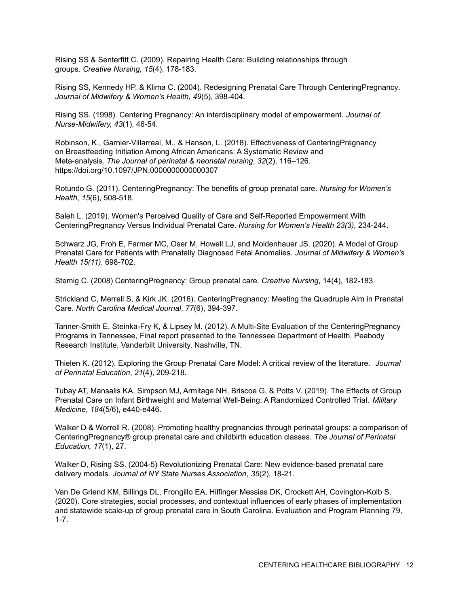Rising SS & Senterfitt C. (2009). Repairing Health Care: Building relationships through groups. *Creative Nursing, 15*(4), 178-183.

Rising SS, Kennedy HP, & Klima C. (2004). Redesigning Prenatal Care Through CenteringPregnancy*. Journal of Midwifery & Women's Health*, *49*(5), 398-404.

Rising SS. (1998). Centering Pregnancy: An interdisciplinary model of empowerment. *Journal of Nurse-Midwifery, 43*(1), 46-54.

Robinson, K., Garnier-Villarreal, M., & Hanson, L. (2018). Effectiveness of CenteringPregnancy on Breastfeeding Initiation Among African Americans: A Systematic Review and Meta-analysis. *The Journal of perinatal & neonatal nursing*, *32*(2), 116–126. https://doi.org/10.1097/JPN.0000000000000307

Rotundo G. (2011). CenteringPregnancy: The benefits of group prenatal care*. Nursing for Women's Health*, *15*(6), 508-518.

Saleh L. (2019). Women's Perceived Quality of Care and Self-Reported Empowerment With CenteringPregnancy Versus Individual Prenatal Care. *Nursing for Women's Health 23(3),* 234-244.

Schwarz JG, Froh E, Farmer MC, Oser M, Howell LJ, and Moldenhauer JS. (2020). A Model of Group Prenatal Care for Patients with Prenatally Diagnosed Fetal Anomalies. *Journal of Midwifery & Women's Health 15(11)*, 698-702.

Stemig C. (2008) CenteringPregnancy: Group prenatal care. *Creative Nursing*, 14(4), 182-183.

Strickland C, Merrell S, & Kirk JK. (2016). CenteringPregnancy: Meeting the Quadruple Aim in Prenatal Care. *North Carolina Medical Journal*, *77*(6), 394-397.

Tanner-Smith E, Steinka-Fry K, & Lipsey M. (2012). A Multi-Site Evaluation of the CenteringPregnancy Programs in Tennessee*,* Final report presented to the Tennessee Department of Health. Peabody Research Institute, Vanderbilt University, Nashville, TN.

Thielen K. (2012). Exploring the Group Prenatal Care Model: A critical review of the literature. *Journal of Perinatal Education*, *21*(4), 209-218.

Tubay AT, Mansalis KA, Simpson MJ, Armitage NH, Briscoe G, & Potts V. (2019). The Effects of Group Prenatal Care on Infant Birthweight and Maternal Well-Being: A Randomized Controlled Trial. *Military Medicine*, *184*(5/6), e440-e446.

Walker D & Worrell R. (2008). Promoting healthy pregnancies through perinatal groups: a comparison of CenteringPregnancy® group prenatal care and childbirth education classes. *The Journal of Perinatal Education, 17*(1), 27.

Walker D, Rising SS. (2004-5) Revolutionizing Prenatal Care: New evidence-based prenatal care delivery models. *Journal of NY State Nurses Association*, *35*(2), 18-21.

Van De Griend KM, Billings DL, Frongillo EA, Hilfinger Messias DK, Crockett AH, Covington-Kolb S. (2020). Core strategies, social processes, and contextual influences of early phases of implementation and statewide scale-up of group prenatal care in South Carolina. Evaluation and Program Planning 79, 1-7.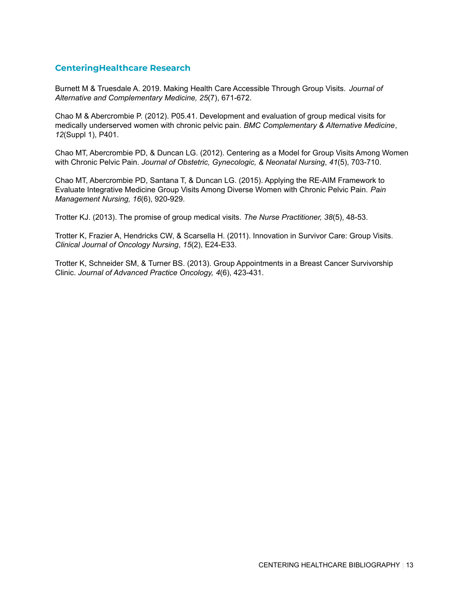#### **CenteringHealthcare Research**

Burnett M & Truesdale A. 2019. Making Health Care Accessible Through Group Visits. *Journal of Alternative and Complementary Medicine, 25*(7), 671-672.

Chao M & Abercrombie P. (2012). P05.41. Development and evaluation of group medical visits for medically underserved women with chronic pelvic pain. *BMC Complementary & Alternative Medicine*, *12*(Suppl 1), P401.

Chao MT, Abercrombie PD, & Duncan LG. (2012). Centering as a Model for Group Visits Among Women with Chronic Pelvic Pain. *Journal of Obstetric, Gynecologic, & Neonatal Nursing*, *41*(5), 703-710.

Chao MT, Abercrombie PD, Santana T, & Duncan LG. (2015). Applying the RE-AIM Framework to Evaluate Integrative Medicine Group Visits Among Diverse Women with Chronic Pelvic Pain. *Pain Management Nursing, 16*(6), 920-929.

Trotter KJ. (2013). The promise of group medical visits. *The Nurse Practitioner, 38*(5), 48-53.

Trotter K, Frazier A, Hendricks CW, & Scarsella H. (2011). Innovation in Survivor Care: Group Visits. *Clinical Journal of Oncology Nursing*, *15*(2), E24-E33.

Trotter K, Schneider SM, & Turner BS. (2013). Group Appointments in a Breast Cancer Survivorship Clinic. *Journal of Advanced Practice Oncology, 4*(6), 423-431.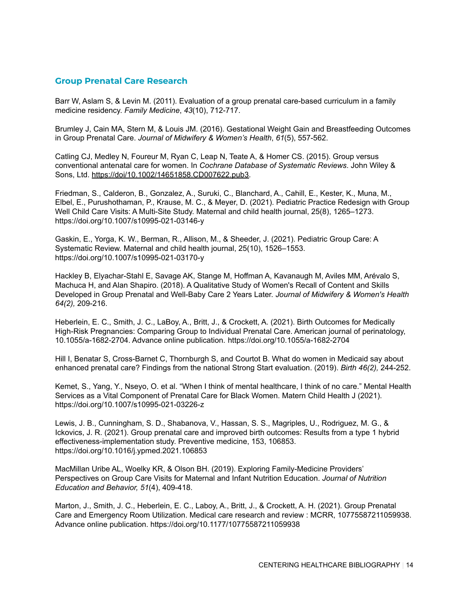#### **Group Prenatal Care Research**

Barr W, Aslam S, & Levin M. (2011). Evaluation of a group prenatal care-based curriculum in a family medicine residency. *Family Medicine*, *43*(10), 712-717.

Brumley J, Cain MA, Stern M, & Louis JM. (2016). Gestational Weight Gain and Breastfeeding Outcomes in Group Prenatal Care. *Journal of Midwifery & Women's Health*, *61*(5), 557-562.

Catling CJ, Medley N, Foureur M, Ryan C, Leap N, Teate A, & Homer CS. (2015). Group versus conventional antenatal care for women. In *Cochrane Database of Systematic Reviews*. John Wiley & Sons, Ltd. [https://doi/10.1002/14651858.CD007622.pub3.](https://doi/10.1002/14651858.CD007622.pub3)

Friedman, S., Calderon, B., Gonzalez, A., Suruki, C., Blanchard, A., Cahill, E., Kester, K., Muna, M., Elbel, E., Purushothaman, P., Krause, M. C., & Meyer, D. (2021). Pediatric Practice Redesign with Group Well Child Care Visits: A Multi-Site Study. Maternal and child health journal, 25(8), 1265–1273. <https://doi.org/10.1007/s10995-021-03146-y>

Gaskin, E., Yorga, K. W., Berman, R., Allison, M., & Sheeder, J. (2021). Pediatric Group Care: A Systematic Review. Maternal and child health journal, 25(10), 1526–1553. <https://doi.org/10.1007/s10995-021-03170-y>

Hackley B, Elyachar-Stahl E, Savage AK, Stange M, Hoffman A, Kavanaugh M, Aviles MM, Arévalo S, Machuca H, and Alan Shapiro. (2018). A Qualitative Study of Women's Recall of Content and Skills Developed in Group Prenatal and Well-Baby Care 2 Years Later. *Journal of Midwifery & Women's Health 64(2),* 209-216.

Heberlein, E. C., Smith, J. C., LaBoy, A., Britt, J., & Crockett, A. (2021). Birth Outcomes for Medically High-Risk Pregnancies: Comparing Group to Individual Prenatal Care. American journal of perinatology, 10.1055/a-1682-2704. Advance online publication. <https://doi.org/10.1055/a-1682-2704>

Hill I, Benatar S, Cross-Barnet C, Thornburgh S, and Courtot B. What do women in Medicaid say about enhanced prenatal care? Findings from the national Strong Start evaluation. (2019). *Birth 46(2),* 244-252.

Kemet, S., Yang, Y., Nseyo, O. et al. "When I think of mental healthcare, I think of no care." Mental Health Services as a Vital Component of Prenatal Care for Black Women. Matern Child Health J (2021). <https://doi.org/10.1007/s10995-021-03226-z>

Lewis, J. B., Cunningham, S. D., Shabanova, V., Hassan, S. S., Magriples, U., Rodriguez, M. G., & Ickovics, J. R. (2021). Group prenatal care and improved birth outcomes: Results from a type 1 hybrid effectiveness-implementation study. Preventive medicine, 153, 106853. <https://doi.org/10.1016/j.ypmed.2021.106853>

MacMillan Uribe AL, Woelky KR, & Olson BH. (2019). Exploring Family-Medicine Providers' Perspectives on Group Care Visits for Maternal and Infant Nutrition Education. *Journal of Nutrition Education and Behavior, 51*(4), 409-418.

Marton, J., Smith, J. C., Heberlein, E. C., Laboy, A., Britt, J., & Crockett, A. H. (2021). Group Prenatal Care and Emergency Room Utilization. Medical care research and review : MCRR, 10775587211059938. Advance online publication. <https://doi.org/10.1177/10775587211059938>